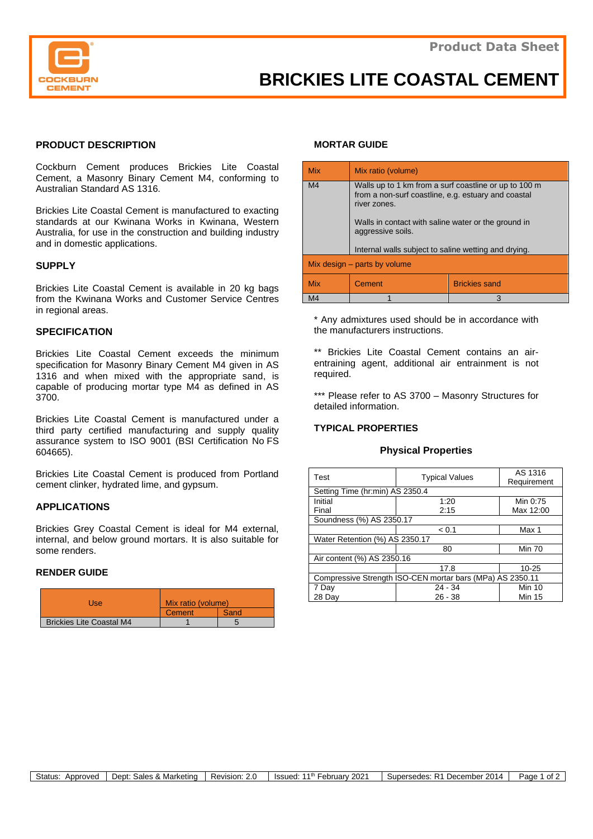

# **PRODUCT DESCRIPTION**

Cockburn Cement produces Brickies Lite Coastal Cement, a Masonry Binary Cement M4, conforming to Australian Standard AS 1316.

Brickies Lite Coastal Cement is manufactured to exacting standards at our Kwinana Works in Kwinana, Western Australia, for use in the construction and building industry and in domestic applications.

### **SUPPLY**

Brickies Lite Coastal Cement is available in 20 kg bags from the Kwinana Works and Customer Service Centres in regional areas.

# **SPECIFICATION**

Brickies Lite Coastal Cement exceeds the minimum specification for Masonry Binary Cement M4 given in AS 1316 and when mixed with the appropriate sand, is capable of producing mortar type M4 as defined in AS 3700.

Brickies Lite Coastal Cement is manufactured under a third party certified manufacturing and supply quality assurance system to ISO 9001 (BSI Certification No FS 604665).

Brickies Lite Coastal Cement is produced from Portland cement clinker, hydrated lime, and gypsum.

## **APPLICATIONS**

Brickies Grey Coastal Cement is ideal for M4 external, internal, and below ground mortars. It is also suitable for some renders.

### **RENDER GUIDE**

| Use                             | Mix ratio (volume) |      |
|---------------------------------|--------------------|------|
|                                 | Cement             | Sand |
| <b>Brickies Lite Coastal M4</b> |                    |      |

### **MORTAR GUIDE**

| <b>Mix</b>                     | Mix ratio (volume)                                                                                                           |                      |  |  |
|--------------------------------|------------------------------------------------------------------------------------------------------------------------------|----------------------|--|--|
| M <sub>4</sub>                 | Walls up to 1 km from a surf coastline or up to 100 m<br>from a non-surf coastline, e.g. estuary and coastal<br>river zones. |                      |  |  |
|                                | Walls in contact with saline water or the ground in<br>aggressive soils.                                                     |                      |  |  |
|                                | Internal walls subject to saline wetting and drying.                                                                         |                      |  |  |
| Mix design $-$ parts by volume |                                                                                                                              |                      |  |  |
| <b>Mix</b>                     | Cement                                                                                                                       | <b>Brickies sand</b> |  |  |
| M4                             |                                                                                                                              | 3                    |  |  |

\* Any admixtures used should be in accordance with the manufacturers instructions.

\*\* Brickies Lite Coastal Cement contains an airentraining agent, additional air entrainment is not required.

\*\*\* Please refer to AS 3700 - Masonry Structures for detailed information.

### **TYPICAL PROPERTIES**

### **Physical Properties**

| Test                                                      | <b>Typical Values</b> | AS 1316<br>Requirement |  |  |
|-----------------------------------------------------------|-----------------------|------------------------|--|--|
| Setting Time (hr:min) AS 2350.4                           |                       |                        |  |  |
| Initial                                                   | 1:20                  | Min 0:75               |  |  |
| Final                                                     | 2:15                  | Max 12:00              |  |  |
| Soundness (%) AS 2350.17                                  |                       |                        |  |  |
|                                                           | < 0.1                 | Max 1                  |  |  |
| Water Retention (%) AS 2350.17                            |                       |                        |  |  |
|                                                           | 80                    | <b>Min 70</b>          |  |  |
| Air content (%) AS 2350.16                                |                       |                        |  |  |
|                                                           | 17.8                  | $10 - 25$              |  |  |
| Compressive Strength ISO-CEN mortar bars (MPa) AS 2350.11 |                       |                        |  |  |
| 7 Day                                                     | $24 - 34$             | <b>Min 10</b>          |  |  |
| 28 Day                                                    | $26 - 38$             | <b>Min 15</b>          |  |  |